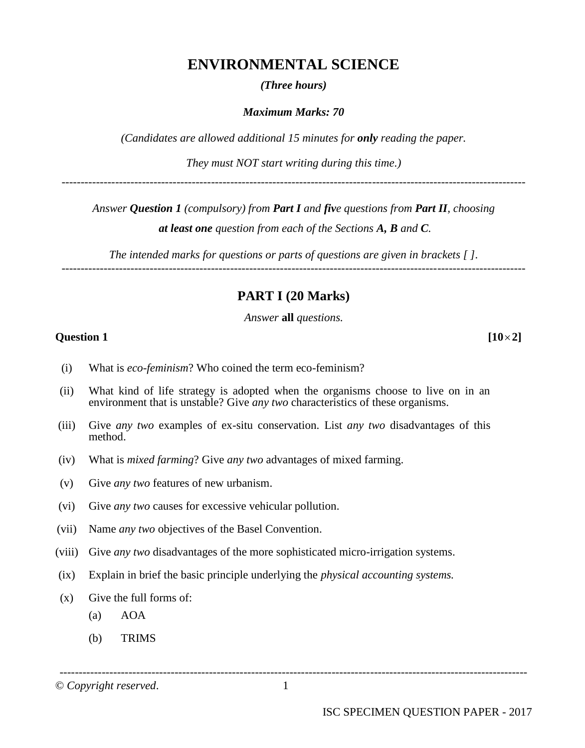# **ENVIRONMENTAL SCIENCE**

#### *(Three hours)*

#### *Maximum Marks: 70*

*(Candidates are allowed additional 15 minutes for only reading the paper.*

*They must NOT start writing during this time.)*

-------------------------------------------------------------------------------------------------------------------------

*Answer Question 1 (compulsory) from Part I and five questions from Part II, choosing*

*at least one question from each of the Sections A, B and C.*

*The intended marks for questions or parts of questions are given in brackets [ ]. -------------------------------------------------------------------------------------------------------------------------*

# **PART I (20 Marks)**

*Answer* **all** *questions.*

#### **Question 1 [102]**

- (i) What is *eco-feminism*? Who coined the term eco-feminism?
- (ii) What kind of life strategy is adopted when the organisms choose to live on in an environment that is unstable? Give *any two* characteristics of these organisms.
- (iii) Give *any two* examples of ex-situ conservation. List *any two* disadvantages of this method.
- (iv) What is *mixed farming*? Give *any two* advantages of mixed farming.
- (v) Give *any two* features of new urbanism.
- (vi) Give *any two* causes for excessive vehicular pollution.
- (vii) Name *any two* objectives of the Basel Convention.
- (viii) Give *any two* disadvantages of the more sophisticated micro-irrigation systems.
- (ix) Explain in brief the basic principle underlying the *physical accounting systems.*
- (x) Give the full forms of:
	- (a) AOA
	- (b) TRIMS

© *Copyright reserved*. 1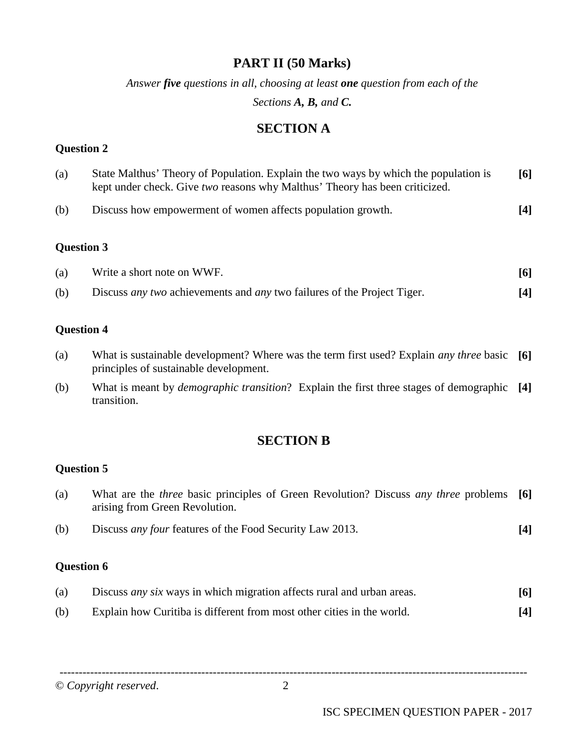# **PART II (50 Marks)**

*Answer five questions in all, choosing at least one question from each of the Sections A, B, and C.*

**SECTION A**

### **Question 2**

| (a) | State Malthus' Theory of Population. Explain the two ways by which the population is<br>kept under check. Give two reasons why Malthus' Theory has been criticized. | [6] |
|-----|---------------------------------------------------------------------------------------------------------------------------------------------------------------------|-----|
| (b) | Discuss how empowerment of women affects population growth.                                                                                                         | [4] |

## **Question 3**

| (a) | Write a short note on WWF.                                                            | 6   |
|-----|---------------------------------------------------------------------------------------|-----|
| (b) | Discuss <i>any two</i> achievements and <i>any</i> two failures of the Project Tiger. | [4] |

### **Question 4**

- (a) What is sustainable development? Where was the term first used? Explain *any three* basic **[6]** principles of sustainable development.
- (b) What is meant by *demographic transition*? Explain the first three stages of demographic **[4]** transition.

# **SECTION B**

### **Question 5**

| (a) | What are the <i>three</i> basic principles of Green Revolution? Discuss <i>any three</i> problems [6]<br>arising from Green Revolution. |      |
|-----|-----------------------------------------------------------------------------------------------------------------------------------------|------|
| (b) | Discuss <i>any four</i> features of the Food Security Law 2013.                                                                         | 14 I |

## **Question 6**

| (a) | Discuss <i>any six</i> ways in which migration affects rural and urban areas. | <b>[6]</b> |
|-----|-------------------------------------------------------------------------------|------------|
| (b) | Explain how Curitiba is different from most other cities in the world.        | [4]        |

© *Copyright reserved*. 2

--------------------------------------------------------------------------------------------------------------------------